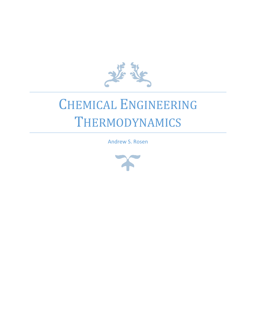

# CHEMICAL ENGINEERING THERMODYNAMICS

Andrew S. Rosen

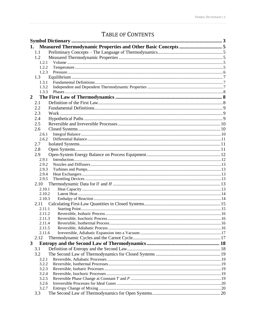# TABLE OF CONTENTS

| 1.             |                |  |
|----------------|----------------|--|
|                | 1.1            |  |
|                | 1.2            |  |
|                | 1.2.1          |  |
|                | 1.2.2          |  |
|                | 1.2.3          |  |
|                | 1.3            |  |
|                | 1.3.1          |  |
|                | 1.3.2          |  |
|                | 1.3.3          |  |
| $\overline{2}$ |                |  |
|                | 2.1            |  |
|                | 2.2            |  |
|                | 2.3            |  |
|                | 2.4            |  |
|                | 2.5            |  |
|                | 2.6            |  |
|                | 2.6.1          |  |
|                | 2.6.2          |  |
|                | 2.7            |  |
|                | 2.8            |  |
|                | 2.9            |  |
|                | 2.9.1          |  |
|                | 2.9.2          |  |
|                | 2.9.3          |  |
|                | 2.9.4          |  |
|                | 2.9.5          |  |
|                | 2.10           |  |
|                | 2.10.1         |  |
|                | 2.10.2         |  |
|                | 2.10.3         |  |
|                | 2.11<br>2.11.1 |  |
|                | 2.11.2         |  |
|                | 2.11.3         |  |
|                | 2.11.4         |  |
|                | 2.11.5         |  |
|                | 2.11.6         |  |
|                | 2.12           |  |
| 3              |                |  |
|                | 3.1            |  |
|                | 3.2            |  |
|                | 3.2.1          |  |
|                | 3.2.2          |  |
|                | 3.2.3          |  |
|                | 3.2.4          |  |
|                | 3.2.5          |  |
|                | 3.2.6          |  |
|                | 3.2.7          |  |
|                | 3.3            |  |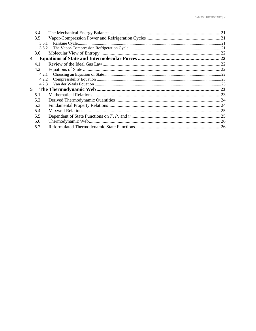| 3.4 |                                           |
|-----|-------------------------------------------|
| 3.5 |                                           |
|     |                                           |
|     |                                           |
| 3.6 |                                           |
| 4   |                                           |
| 4.1 |                                           |
| 4.2 |                                           |
|     |                                           |
|     |                                           |
|     |                                           |
| 5   |                                           |
| 5.1 |                                           |
| 5.2 |                                           |
| 5.3 |                                           |
| 5.4 |                                           |
| 5.5 |                                           |
| 5.6 |                                           |
| 5.7 |                                           |
|     | 3.5.1<br>3.5.2<br>4.2.1<br>4.2.2<br>4.2.3 |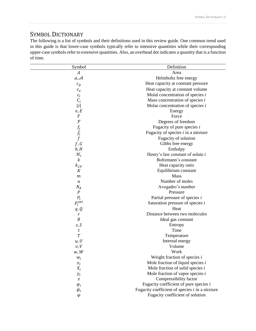# <span id="page-3-0"></span>SYMBOL DICTIONARY

The following is a list of symbols and their definitions used in this review guide. One common trend used in this guide is that lower-case symbols typically refer to intensive quantities while their corresponding upper-case symbols refer to extensive quantities. Also, an overhead dot indicates a quantity that is a function of time.

| Symbol             | Definition                                       |
|--------------------|--------------------------------------------------|
| A                  | Area                                             |
| a, A               | Helmholtz free energy                            |
| $c_p$              | Heat capacity at constant pressure               |
| $c_v$              | Heat capacity at constant volume                 |
| $c_i$              | Molal concentration of species $i$               |
| $c_i$              | Mass concentration of species $i$                |
| i                  | Molar concentration of species $i$               |
| e, E               | Energy                                           |
| $\cal F$           | Force                                            |
| $\mathcal F$       | Degrees of freedom                               |
| $f_i$ $\hat{f}_i$  | Fugacity of pure species $i$                     |
|                    | Fugacity of species $i$ in a mixture             |
| $\int$             | Fugacity of solution                             |
| f, G               | Gibbs free energy                                |
| h, H               | Enthalpy                                         |
| $\mathcal{H}_i$    | Henry's law constant of solute $i$               |
| $\boldsymbol{k}$   | Boltzmann's constant                             |
| $k_{CP}$           | Heat capacity ratio                              |
| К                  | Equilibrium constant                             |
| $\boldsymbol{m}$   | Mass                                             |
| $\it n$            | Number of moles                                  |
| $N_A$              | Avogadro's number                                |
| $\cal P$           | Pressure                                         |
| $\boldsymbol{P_i}$ | Partial pressure of species i                    |
| $P_i^{sat}$        | Saturation pressure of species <i>i</i>          |
| q, Q               | Heat                                             |
| r                  | Distance between two molecules                   |
| $\cal R$           | Ideal gas constant                               |
| s, S               | Entropy                                          |
| t                  | Time                                             |
| T                  | Temperature                                      |
| u, U               | Internal energy                                  |
| v, V               | Volume                                           |
| w, W               | Work                                             |
| $W_i$              | Weight fraction of species $i$                   |
| $x_i$              | Mole fraction of liquid species $i$              |
| $X_i$              | Mole fraction of solid species $i$               |
| $y_i$              | Mole fraction of vapor species $i$               |
| Z                  | Compressibility factor                           |
| $\varphi_i$        | Fugacity coefficient of pure species $i$         |
| $\hat{\varphi}_i$  | Fugacity coefficient of species $i$ in a mixture |
| $\varphi$          | Fugacity coefficient of solution                 |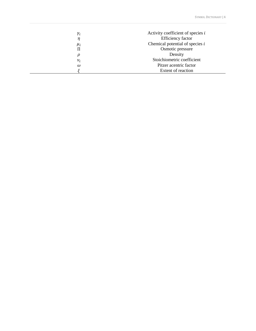| $\gamma_i$ | Activity coefficient of species $i$ |
|------------|-------------------------------------|
|            | Efficiency factor                   |
| $\mu_i$    | Chemical potential of species $i$   |
| П          | Osmotic pressure                    |
| ρ          | Density                             |
| $v_i$      | Stoichiometric coefficient          |
| ω          | Pitzer acentric factor              |
|            | <b>Extent of reaction</b>           |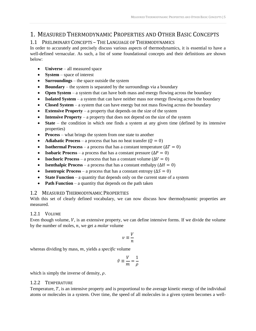# <span id="page-5-0"></span>1. MEASURED THERMODYNAMIC PROPERTIES AND OTHER BASIC CONCEPTS

# <span id="page-5-1"></span>1.1 PRELIMINARY CONCEPTS – THE LANGUAGE OF THERMODYNAMICS

In order to accurately and precisely discuss various aspects of thermodynamics, it is essential to have a well-defined vernacular. As such, a list of some foundational concepts and their definitions are shown below:

- **Universe** all measured space
- **System** space of interest
- **Surroundings** the space outside the system
- **Boundary** the system is separated by the surroundings via a boundary
- **Open System** a system that can have both mass and energy flowing across the boundary
- **Isolated System** a system that can have neither mass nor energy flowing across the boundary
- **Closed System** a system that can have energy but not mass flowing across the boundary
- **Extensive Property** a property that depends on the size of the system
- **Intensive Property** a property that does not depend on the size of the system
- **State** the condition in which one finds a system at any given time (defined by its intensive properties)
- **Process** what brings the system from one state to another
- **Adiabatic Process** a process that has no heat transfer  $(Q = 0)$
- **Isothermal Process** a process that has a constant temperature  $(\Delta T = 0)$
- **Isobaric Process** a process that has a constant pressure  $(\Delta P = 0)$
- **Isochoric Process** a process that has a constant volume  $(\Delta V = 0)$
- **Isenthalpic Process** a process that has a constant enthalpy  $(\Delta H = 0)$
- **Isentropic Process** a process that has a constant entropy  $(\Delta S = 0)$
- **State Function** a quantity that depends only on the current state of a system
- **Path Function** a quantity that depends on the path taken

# <span id="page-5-2"></span>1.2 MEASURED THERMODYNAMIC PROPERTIES

With this set of clearly defined vocabulary, we can now discuss how thermodynamic properties are measured.

# <span id="page-5-3"></span>1.2.1 VOLUME

Even though volume,  $V$ , is an extensive property, we can define intensive forms. If we divide the volume by the number of moles,  $n$ , we get a *molar* volume

$$
v\equiv \frac{V}{n}
$$

whereas dividing by mass, m, yields a *specific* volume

$$
\hat{v} \equiv \frac{V}{m} = \frac{1}{\rho}
$$

which is simply the inverse of density,  $\rho$ .

# <span id="page-5-4"></span>1.2.2 TEMPERATURE

Temperature,  $T$ , is an intensive property and is proportional to the average kinetic energy of the individual atoms or molecules in a system. Over time, the speed of all molecules in a given system becomes a well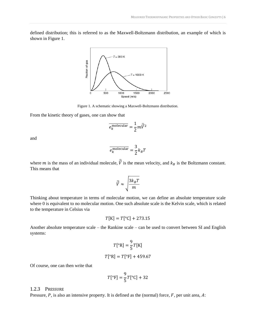defined distribution; this is referred to as the Maxwell-Boltzmann distribution, an example of which is shown in [Figure](#page-6-1) 1.



Figure 1. A schematic showing a Maxwell-Boltzmann distribution.

<span id="page-6-1"></span>From the kinetic theory of gases, one can show that

$$
\overline{e_k^{\text{molecular}}} = \frac{1}{2} m \overline{\vec{V}}^2
$$

and

$$
\overline{e_k^{\text{molecular}}} = \frac{3}{2} k_B T
$$

where m is the mass of an individual molecule,  $\vec{\bar{V}}$  is the mean velocity, and  $k_B$  is the Boltzmann constant. This means that

$$
\bar{\vec{V}} \approx \sqrt{\frac{3k_B T}{m}}
$$

Thinking about temperature in terms of molecular motion, we can define an absolute temperature scale where 0 is equivalent to no molecular motion. One such absolute scale is the Kelvin scale, which is related to the temperature in Celsius via

$$
T[K] = T[^{\circ}C] + 273.15
$$

Another absolute temperature scale – the Rankine scale – can be used to convert between SI and English systems:

$$
T[°R] = \frac{9}{5}T[K]
$$

$$
T[°R] = T[°F] + 459.67
$$

Of course, one can then write that

$$
T[°F] = \frac{9}{5}T[°C] + 32
$$

#### <span id="page-6-0"></span>1.2.3 PRESSURE

Pressure,  $P$ , is also an intensive property. It is defined as the (normal) force,  $F$ , per unit area,  $A$ :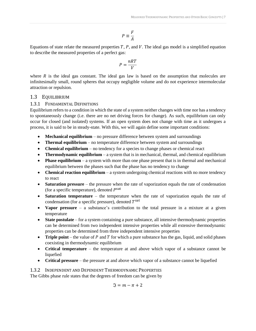$$
P \equiv \frac{F}{A}
$$

Equations of state relate the measured properties  $T$ ,  $P$ , and  $V$ . The ideal gas model is a simplified equation to describe the measured properties of a perfect gas:

$$
P = \frac{nRT}{V}
$$

where  $R$  is the ideal gas constant. The ideal gas law is based on the assumption that molecules are infinitesimally small, round spheres that occupy negligible volume and do not experience intermolecular attraction or repulsion.

# <span id="page-7-0"></span>1.3 EQUILIBRIUM

# <span id="page-7-1"></span>1.3.1 FUNDAMENTAL DEFINITIONS

Equilibrium refers to a condition in which the state of a system neither changes with time nor has a tendency to spontaneously change (i.e. there are no net driving forces for change). As such, equilibrium can only occur for closed (and isolated) systems. If an open system does not change with time as it undergoes a process, it is said to be in steady-state. With this, we will again define some important conditions:

- **Mechanical equilibrium** no pressure difference between system and surroundings
- **Thermal equilibrium**  no temperature difference between system and surroundings
- **Chemical equilibrium**  no tendency for a species to change phases or chemical react
- **Thermodynamic equilibrium** a system that is in mechanical, thermal, and chemical equilibrium
- **Phase equilibrium** a system with more than one phase present that is in thermal and mechanical equilibrium between the phases such that the phase has no tendency to change
- **Chemical reaction equilibrium** a system undergoing chemical reactions with no more tendency to react
- **Saturation pressure** the pressure when the rate of vaporization equals the rate of condensation (for a specific temperature), denoted  $P<sup>sat</sup>$
- **Saturation temperature** the temperature when the rate of vaporization equals the rate of condensation (for a specific pressure), denoted  $T^{\text{sat}}$
- **Vapor pressure**  a substance's contribution to the total pressure in a mixture at a given temperature
- **State postulate** for a system containing a pure substance, all intensive thermodynamic properties can be determined from two independent intensive properties while all extensive thermodynamic properties can be determined from three independent intensive properties
- **Triple point** the value of  $P$  and  $T$  for which a pure substance has the gas, liquid, and solid phases coexisting in thermodynamic equilibrium
- **Critical temperature**  the temperature at and above which vapor of a substance cannot be liquefied
- **Critical pressure** the pressure at and above which vapor of a substance cannot be liquefied

# <span id="page-7-2"></span>1.3.2 INDEPENDENT AND DEPENDENT THERMODYNAMIC PROPERTIES

The Gibbs phase rule states that the degrees of freedom can be given by

$$
\mathfrak{I}=m-\pi+2
$$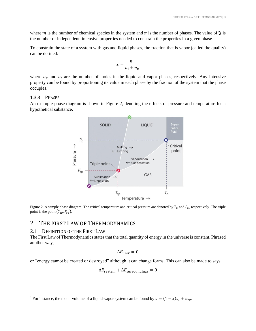where *m* is the number of chemical species in the system and  $\pi$  is the number of phases. The value of  $\Im$  is the number of independent, intensive properties needed to constrain the properties in a given phase.

To constrain the state of a system with gas and liquid phases, the fraction that is vapor (called the quality) can be defined:

$$
x = \frac{n_v}{n_l + n_v}
$$

where  $n_v$  and  $n_l$  are the number of moles in the liquid and vapor phases, respectively. Any intensive property can be found by proportioning its value in each phase by the fraction of the system that the phase occupies.<sup>1</sup>

#### <span id="page-8-0"></span>1.3.3 PHASES

An example phase diagram is shown in [Figure 2,](#page-8-3) denoting the effects of pressure and temperature for a hypothetical substance.



<span id="page-8-3"></span>Figure 2. A sample phase diagram. The critical temperature and critical pressure are denoted by  $T_c$  and  $P_c$ , respectively. The triple point is the point  $(T_{tp}, P_{tp})$ .

# <span id="page-8-1"></span>2 THE FIRST LAW OF THERMODYNAMICS

## <span id="page-8-2"></span>2.1 DEFINITION OF THE FIRST LAW

l

The First Law of Thermodynamics states that the total quantity of energy in the universe is constant. Phrased another way,

$$
\Delta E_{\text{univ}}=0
$$

or "energy cannot be created or destroyed" although it can change forms. This can also be made to says

$$
\Delta E_{\text{system}} + \Delta E_{\text{surroundings}} = 0
$$

<sup>&</sup>lt;sup>1</sup> For instance, the molar volume of a liquid-vapor system can be found by  $v = (1 - x)v_1 + xv_v$ .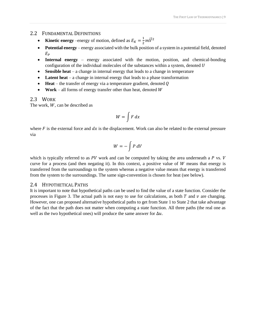# <span id="page-9-0"></span>2.2 FUNDAMENTAL DEFINITIONS

- **Kinetic energy** –energy of motion, defined as  $E_K = \frac{1}{2}$  $\frac{1}{2}m\vec{V}^2$
- **Potential energy** energy associated with the bulk position of a system in a potential field, denoted  $E_P$
- **Internal energy** energy associated with the motion, position, and chemical-bonding configuration of the individual molecules of the substances within a system, denoted U
- **Sensible heat** a change in internal energy that leads to a change in temperature
- **Latent heat** a change in internal energy that leads to a phase transformation
- $\bullet$  **Heat** the transfer of energy via a temperature gradient, denoted  $\theta$
- **Work** all forms of energy transfer other than heat, denoted  $W$

# <span id="page-9-1"></span>2.3 WORK

The work,  $W$ , can be described as

$$
W=\int F\,dx
$$

where  $F$  is the external force and  $dx$  is the displacement. Work can also be related to the external pressure via

$$
W = -\int P\,dV
$$

which is typically referred to as  $PV$  work and can be computed by taking the area underneath a  $P$  vs.  $V$ curve for a process (and then negating it). In this context, a positive value of  $W$  means that energy is transferred from the surroundings to the system whereas a negative value means that energy is transferred from the system to the surroundings. The same sign-convention is chosen for heat (see below).

# <span id="page-9-2"></span>2.4 HYPOTHETICAL PATHS

It is important to note that hypothetical paths can be used to find the value of a state function. Consider the processes in [Figure 3.](#page-10-3) The actual path is not easy to use for calculations, as both  $T$  and  $\nu$  are changing. However, one can proposed alternative hypothetical paths to get from State 1 to State 2 that take advantage of the fact that the path does not matter when computing a state function. All three paths (the real one as well as the two hypothetical ones) will produce the same answer for  $\Delta u$ .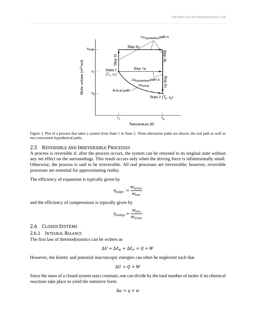

<span id="page-10-3"></span>Figure 3. Plot of a process that takes a system from State 1 to State 2. Three alternative paths are shown: the real path as well as two convenient hypothetical paths.

# <span id="page-10-0"></span>2.5 REVERSIBLE AND IRREVERSIBLE PROCESSES

A process is reversible if, after the process occurs, the system can be returned to its original state without any net effect on the surroundings. This result occurs only when the driving force is infinitesimally small. Otherwise, the process is said to be irreversible. All real processes are irreversible; however, reversible processes are essential for approximating reality.

The efficiency of expansion is typically given by

$$
\eta_{\rm exp=} = \frac{w_{\rm irrev}}{w_{\rm rev}}
$$

and the efficiency of compressions is typically given by

$$
\eta_{\text{comp}} = \frac{w_{\text{rev}}}{w_{\text{irrev}}}
$$

## <span id="page-10-1"></span>2.6 CLOSED SYSTEMS

<span id="page-10-2"></span>2.6.1 INTEGRAL BALANCE

The first law of thermodynamics can be written as

$$
\Delta U + \Delta E_K + \Delta E_P = Q + W
$$

However, the kinetic and potential macroscopic energies can often be neglected such that

$$
\Delta U = Q + W
$$

Since the mass of a closed system stays constant, one can divide by the total number of moles if no chemical reactions take place to yield the intensive form:

$$
\Delta u = q + w
$$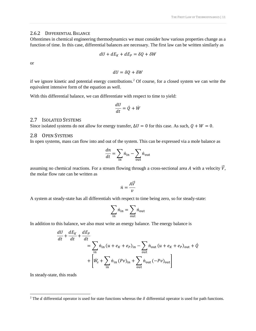## <span id="page-11-0"></span>2.6.2 DIFFERENTIAL BALANCE

Oftentimes in chemical engineering thermodynamics we must consider how various properties change as a function of time. In this case, differential balances are necessary. The first law can be written similarly as

$$
dU + dE_K + dE_P = \delta Q + \delta W
$$

or

 $dU = \delta Q + \delta W$ 

if we ignore kinetic and potential energy contributions.<sup>2</sup> Of course, for a closed system we can write the equivalent intensive form of the equation as well.

With this differential balance, we can differentiate with respect to time to yield:

$$
\frac{dU}{dt} = \dot{Q} + \dot{W}
$$

## <span id="page-11-1"></span>2.7 ISOLATED SYSTEMS

Since isolated systems do not allow for energy transfer,  $\Delta U = 0$  for this case. As such,  $Q + W = 0$ .

# <span id="page-11-2"></span>2.8 OPEN SYSTEMS

In open systems, mass can flow into and out of the system. This can be expressed via a mole balance as

$$
\frac{dn}{dt} = \sum_{\text{in}} \dot{n}_{\text{in}} - \sum_{\text{out}} \dot{n}_{\text{out}}
$$

assuming no chemical reactions. For a stream flowing through a cross-sectional area A with a velocity  $\vec{V}$ , the molar flow rate can be written as

$$
\dot{n} = \frac{A\vec{V}}{v}
$$

A system at steady-state has all differentials with respect to time being zero, so for steady-state:

$$
\sum_{\text{in}} \dot{n}_{\text{in}} = \sum_{\text{out}} \dot{n}_{\text{out}}
$$

In addition to this balance, we also must write an energy balance. The energy balance is

$$
\frac{dU}{dt} + \frac{dE_K}{dt} + \frac{dE_P}{dt}
$$
\n
$$
= \sum_{\text{in}} \dot{n}_{\text{in}} (u + e_K + e_P)_{\text{in}} - \sum_{\text{out}} \dot{n}_{\text{out}} (u + e_K + e_P)_{\text{out}} + \dot{Q}
$$
\n
$$
+ \left[ \dot{W}_S + \sum_{\text{in}} \dot{n}_{\text{in}} (Pv)_{\text{in}} + \sum_{\text{out}} \dot{n}_{\text{out}} (-Pv)_{\text{out}} \right]
$$

In steady-state, this reads

l

<sup>&</sup>lt;sup>2</sup> The *d* differential operator is used for state functions whereas the  $\delta$  differential operator is used for path functions.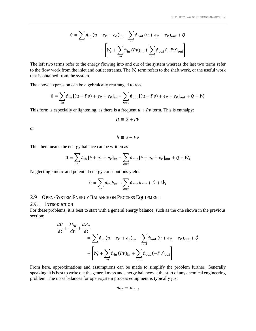$$
0 = \sum_{\text{in}} \dot{n}_{\text{in}} \left( u + e_K + e_P \right)_{\text{in}} - \sum_{\text{out}} \dot{n}_{\text{out}} \left( u + e_K + e_P \right)_{\text{out}} + \dot{Q}
$$

$$
+ \left[ \dot{W}_s + \sum_{\text{in}} \dot{n}_{\text{in}} \left( Pv \right)_{\text{in}} + \sum_{\text{out}} \dot{n}_{\text{out}} \left( -Pv \right)_{\text{out}} \right]
$$

The left two terms refer to the energy flowing into and out of the system whereas the last two terms refer to the flow work from the inlet and outlet streams. The  $\dot{W}_s$  term refers to the shaft work, or the useful work that is obtained from the system.

The above expression can be algebraically rearranged to read

$$
0 = \sum_{\text{in}} \dot{n}_{\text{in}} \left[ (u + Pv) + e_K + e_P \right]_{\text{in}} - \sum_{\text{out}} \dot{n}_{\text{out}} \left[ (u + Pv) + e_K + e_P \right]_{\text{out}} + \dot{Q} + \dot{W}_s
$$

This form is especially enlightening, as there is a frequent  $u + Pv$  term. This is enthalpy:

$$
H \equiv U + PV
$$

or

$$
h\equiv u+Pv
$$

This then means the energy balance can be written as

$$
0 = \sum_{\text{in}} \dot{n}_{\text{in}} \left[ h + e_K + e_P \right]_{\text{in}} - \sum_{\text{out}} \dot{n}_{\text{out}} \left[ h + e_K + e_P \right]_{\text{out}} + \dot{Q} + \dot{W}_s
$$

Neglecting kinetic and potential energy contributions yields

$$
0 = \sum_{\text{in}} \dot{n}_{\text{in}} \, h_{\text{in}} - \sum_{\text{out}} \dot{n}_{\text{out}} \, h_{\text{out}} + \dot{Q} + \dot{W}_s
$$

# <span id="page-12-0"></span>2.9 OPEN-SYSTEM ENERGY BALANCE ON PROCESS EQUIPMENT

#### <span id="page-12-1"></span>2.9.1 INTRODUCTION

For these problems, it is best to start with a general energy balance, such as the one shown in the previous section:

$$
\frac{dU}{dt} + \frac{dE_K}{dt} + \frac{dE_P}{dt}
$$
\n
$$
= \sum_{\text{in}} \dot{n}_{\text{in}} (u + e_K + e_P)_{\text{in}} - \sum_{\text{out}} \dot{n}_{\text{out}} (u + e_K + e_P)_{\text{out}} + \dot{Q}
$$
\n
$$
+ \left[ \dot{W}_s + \sum_{\text{in}} \dot{n}_{\text{in}} (Pv)_{\text{in}} + \sum_{\text{out}} \dot{n}_{\text{out}} (-Pv)_{\text{out}} \right]
$$

From here, approximations and assumptions can be made to simplify the problem further. Generally speaking, it is best to write out the general mass and energy balances at the start of any chemical engineering problem. The mass balances for open-system process equipment is typically just

$$
\dot{m}_{\rm in}=\dot{m}_{\rm out}
$$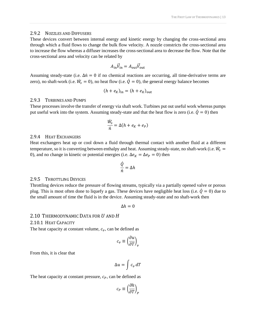#### <span id="page-13-0"></span>2.9.2 NOZZLES AND DIFFUSERS

These devices convert between internal energy and kinetic energy by changing the cross-sectional area through which a fluid flows to change the bulk flow velocity. A nozzle constricts the cross-sectional area to increase the flow whereas a diffuser increases the cross-sectional area to decrease the flow. Note that the cross-sectional area and velocity can be related by

$$
A_{\rm in}\vec{V}_{\rm in} = A_{\rm out}\vec{V}_{\rm out}
$$

Assuming steady-state (i.e.  $\Delta \dot{n} = 0$  if no chemical reactions are occurring, all time-derivative terms are zero), no shaft-work (i.e.  $\dot{W}_s = 0$ ), no heat flow (i.e.  $\dot{Q} = 0$ ), the general energy balance becomes

$$
(h + e_K)_{\rm in} = (h + e_K)_{\rm out}
$$

#### <span id="page-13-1"></span>2.9.3 TURBINES AND PUMPS

These processes involve the transfer of energy via shaft work. Turbines put out useful work whereas pumps put useful work into the system. Assuming steady-state and that the heat flow is zero (i.e.  $\dot{Q} = 0$ ) then

$$
\frac{\dot{W}_S}{\dot{n}} = \Delta(h + e_K + e_P)
$$

#### <span id="page-13-2"></span>2.9.4 HEAT EXCHANGERS

Heat exchangers heat up or cool down a fluid through thermal contact with another fluid at a different temperature, so it is converting between enthalpy and heat. Assuming steady-state, no shaft-work (i.e.  $\dot{W}_{s} =$ 0), and no change in kinetic or potential energies (i.e.  $\Delta e_K = \Delta e_P = 0$ ) then

$$
\frac{\dot{Q}}{\dot{n}} = \Delta h
$$

## <span id="page-13-3"></span>2.9.5 THROTTLING DEVICES

Throttling devices reduce the pressure of flowing streams, typically via a partially opened valve or porous plug. This is most often done to liquefy a gas. These devices have negligible heat loss (i.e.  $\dot{Q} = 0$ ) due to the small amount of time the fluid is in the device. Assuming steady-state and no shaft-work then

 $\Delta h = 0$ 

#### <span id="page-13-4"></span>2.10 THERMODYNAMIC DATA FOR  $U$  and  $H$

#### <span id="page-13-5"></span>2.10.1 HEAT CAPACITY

The heat capacity at constant volume,  $c_v$ , can be defined as

$$
c_v \equiv \left(\frac{\partial u}{\partial T}\right)_v
$$

From this, it is clear that

$$
\Delta u = \int c_v \, dT
$$

The heat capacity at constant pressure,  $c_p$ , can be defined as

$$
c_P \equiv \left(\frac{\partial h}{\partial T}\right)_P
$$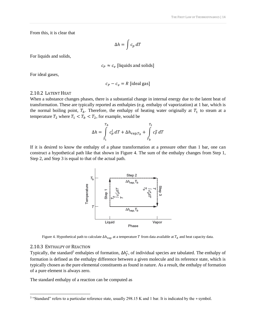From this, it is clear that

$$
\Delta h = \int c_p \, dT
$$

For liquids and solids,

$$
c_P \approx c_v
$$
 [liquids and solids]

For ideal gases,

$$
c_P - c_v = R
$$
 [ideal gas]

#### <span id="page-14-0"></span>2.10.2 LATENT HEAT

When a substance changes phases, there is a substantial change in internal energy due to the latent heat of transformation. These are typically reported as enthalpies (e.g. enthalpy of vaporization) at 1 bar, which is the normal boiling point,  $T_b$ . Therefore, the enthalpy of heating water originally at  $T_1$  to steam at a temperature  $T_2$  where  $T_1 < T_b < T_2$ , for example, would be

$$
\Delta h = \int_{T_1}^{T_b} c_p^l dT + \Delta h_{\text{vap},T_b} + \int_{T_b}^{T_2} c_p^v dT
$$

If it is desired to know the enthalpy of a phase transformation at a pressure other than 1 bar, one can construct a hypothetical path like that shown in [Figure 4.](#page-14-2) The sum of the enthalpy changes from Step 1, Step 2, and Step 3 is equal to that of the actual path.



Figure 4. Hypothetical path to calculate  $\Delta h_{\text{vap}}$  at a temperature T from data available at  $T_b$  and heat capacity data.

#### <span id="page-14-2"></span><span id="page-14-1"></span>2.10.3 ENTHALPY OF REACTION

l

Typically, the standard<sup>3</sup> enthalpies of formation,  $\Delta h_f^{\circ}$ , of individual species are tabulated. The enthalpy of formation is defined as the enthalpy difference between a given molecule and its reference state, which is typically chosen as the pure elemental constituents as found in nature. As a result, the enthalpy of formation of a pure element is always zero.

The standard enthalpy of a reaction can be computed as

<sup>&</sup>lt;sup>3</sup> "Standard" refers to a particular reference state, usually 298.15 K and 1 bar. It is indicated by the ∘ symbol.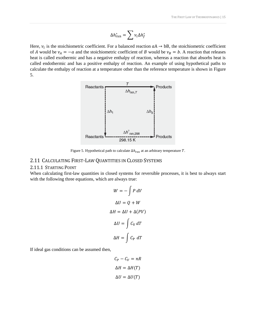$$
\Delta h^\circ_\text{rxn} = \sum v_i \Delta h^\circ_f
$$

Here,  $v_i$  is the stoichiometric coefficient. For a balanced reaction  $aA \rightarrow bB$ , the stoichiometric coefficient of A would be  $v_A = -a$  and the stoichiometric coefficient of B would be  $v_B = b$ . A reaction that releases heat is called exothermic and has a negative enthalpy of reaction, whereas a reaction that absorbs heat is called endothermic and has a positive enthalpy of reaction. An example of using hypothetical paths to calculate the enthalpy of reaction at a temperature other than the reference temperature is shown in [Figure](#page-15-2)  [5.](#page-15-2)



Figure 5. Hypothetical path to calculate  $\Delta h_{\text{rxn}}$  at an arbitrary temperature T.

# <span id="page-15-2"></span><span id="page-15-0"></span>2.11 CALCULATING FIRST-LAW QUANTITIES IN CLOSED SYSTEMS

## <span id="page-15-1"></span>2.11.1 STARTING POINT

When calculating first-law quantities in closed systems for reversible processes, it is best to always start with the following three equations, which are always true:

$$
W = -\int P \, dV
$$

$$
\Delta U = Q + W
$$

$$
\Delta H = \Delta U + \Delta (PV)
$$

$$
\Delta U = \int C_V \, dT
$$

$$
\Delta H = \int C_P \, dT
$$

If ideal gas conditions can be assumed then,

$$
C_P - C_V = nR
$$

$$
\Delta H = \Delta H(T)
$$

$$
\Delta U = \Delta U(T)
$$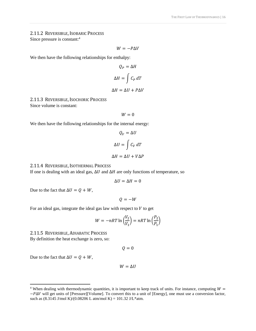# <span id="page-16-0"></span>2.11.2 REVERSIBLE, ISOBARIC PROCESS Since pressure is constant:<sup>4</sup>

$$
W=-P\Delta V
$$

We then have the following relationships for enthalpy:

$$
Q_P = \Delta H
$$

$$
\Delta H = \int C_P dT
$$

# $\Delta H = \Delta U + P \Delta V$

# <span id="page-16-1"></span>2.11.3 REVERSIBLE, ISOCHORIC PROCESS Since volume is constant:

 $W = 0$ 

We then have the following relationships for the internal energy:

$$
Q_V = \Delta U
$$

$$
\Delta U = \int C_V dT
$$

$$
\Delta H = \Delta U + V \Delta P
$$

<span id="page-16-2"></span>2.11.4 REVERSIBLE, ISOTHERMAL PROCESS

If one is dealing with an ideal gas,  $\Delta U$  and  $\Delta H$  are only functions of temperature, so

$$
\Delta U = \Delta H = 0
$$

Due to the fact that  $\Delta U = Q + W$ ,

 $Q = -W$ 

For an ideal gas, integrate the ideal gas law with respect to  $V$  to get

$$
W = -nRT \ln \left(\frac{V_2}{V_1}\right) = nRT \ln \left(\frac{P_2}{P_1}\right)
$$

<span id="page-16-3"></span>2.11.5 REVERSIBLE, ADIABATIC PROCESS By definition the heat exchange is zero, so:

 $Q = 0$ 

Due to the fact that  $\Delta U = Q + W$ ,

l

$$
W = \Delta U
$$

<sup>&</sup>lt;sup>4</sup> When dealing with thermodynamic quantities, it is important to keep track of units. For instance, computing  $W =$ −Δ will get units of [Pressure][Volume]. To convert this to a unit of [Energy], one must use a conversion factor, such as  $(8.3145 \text{ J/mol K})/(0.08206 \text{ L atm/mol K}) = 101.32 \text{ J/L*atm.}$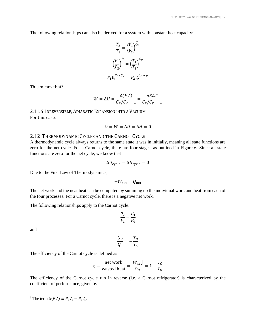The following relationships can also be derived for a system with constant heat capacity:

$$
\frac{T_2}{T_1} = \left(\frac{V_1}{V_2}\right)^{\frac{R}{C_V}}
$$

$$
\left(\frac{P_1}{P_2}\right)^R = \left(\frac{T_1}{T_2}\right)^{C_P}
$$

$$
P_1 V_1^{C_P/C_V} = P_2 V_2^{C_P/C_V}
$$

This means that<sup>5</sup>

$$
W = \Delta U = \frac{\Delta(PV)}{C_P/C_V - 1} = \frac{nR\Delta T}{C_P/C_V - 1}
$$

<span id="page-17-0"></span>2.11.6 IRREVERSIBLE, ADIABATIC EXPANSION INTO A VACUUM For this case,

$$
Q = W = \Delta U = \Delta H = 0
$$

#### <span id="page-17-1"></span>2.12 THERMODYNAMIC CYCLES AND THE CARNOT CYCLE

A thermodynamic cycle always returns to the same state it was in initially, meaning all state functions are zero for the net cycle. For a Carnot cycle, there are four stages, as outlined in [Figure 6.](#page-18-2) Since all state functions are zero for the net cycle, we know that

$$
\Delta U_{\text{cycle}} = \Delta H_{\text{cycle}} = 0
$$

Due to the First Law of Thermodynamics,

$$
-W_{\text{net}} = Q_{\text{net}}
$$

The net work and the neat heat can be computed by summing up the individual work and heat from each of the four processes. For a Carnot cycle, there is a negative net work.

The following relationships apply to the Carnot cycle:

$$
\frac{P_2}{P_1}=\frac{P_3}{P_4}
$$

and

l

$$
\frac{Q_H}{Q_C} = -\frac{T_H}{T_C}
$$

The efficiency of the Carnot cycle is defined as

$$
\eta \equiv \frac{\text{net work}}{\text{wasted heat}} = \frac{|W_{\text{net}}|}{Q_H} = 1 - \frac{T_C}{T_H}
$$

The efficiency of the Carnot cycle run in reverse (i.e. a Carnot refrigerator) is characterized by the coefficient of performance, given by

<sup>&</sup>lt;sup>5</sup> The term  $\Delta(PV) \equiv P_2V_2 - P_1V_1$ .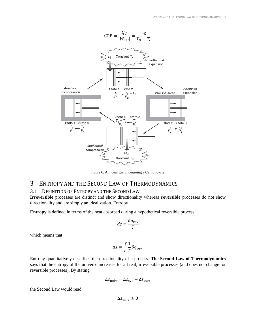

Figure 6. An ideal gas undergoing a Carnot cycle.

# <span id="page-18-2"></span><span id="page-18-0"></span>3 ENTROPY AND THE SECOND LAW OF THERMODYNAMICS

# <span id="page-18-1"></span>3.1 DEFINITION OF ENTROPY AND THE SECOND LAW

**Irreversible** processes are distinct and show directionality whereas **reversible** processes do not show directionality and are simply an idealization. Entropy

**Entropy** is defined in terms of the heat absorbed during a hypothetical reversible process:

$$
ds \equiv \frac{\delta q_{\text{rev}}}{T}
$$

which means that

$$
\Delta s = \int \frac{1}{T} \delta q_{\rm rev}
$$

Entropy quantitatively describes the directionality of a process. **The Second Law of Thermodynamics** says that the entropy of the universe increases for all real, irreversible processes (and does not change for reversible processes). By stating

$$
\Delta s_{\text{univ}} = \Delta s_{\text{sys}} + \Delta s_{\text{surr}}
$$

the Second Law would read

 $\Delta s_{\text{univ}} \geq 0$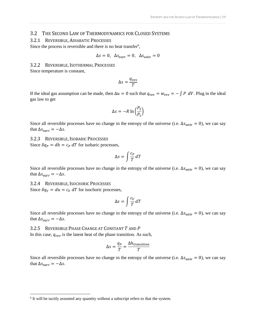#### <span id="page-19-0"></span>3.2 THE SECOND LAW OF THERMODYNAMICS FOR CLOSED SYSTEMS

#### <span id="page-19-1"></span>3.2.1 REVERSIBLE, ADIABATIC PROCESSES

Since the process is reversible and there is no heat transfer<sup>6</sup>,

$$
\Delta s = 0, \ \Delta s_{\text{surr}} = 0, \ \Delta s_{\text{univ}} = 0
$$

<span id="page-19-2"></span>3.2.2 REVERSIBLE, ISOTHERMAL PROCESSES

Since temperature is constant,

$$
\Delta s = \frac{q_{\text{rev}}}{T}
$$

If the ideal gas assumption can be made, then  $\Delta u = 0$  such that  $q_{rev} = w_{rev} = -\int P dV$ . Plug in the ideal gas law to get

$$
\Delta s = -R \ln \left( \frac{P_2}{P_1} \right)
$$

Since all reversible processes have no change in the entropy of the universe (i.e.  $\Delta s_{\text{univ}} = 0$ ), we can say that  $\Delta s_{\text{surr}} = -\Delta s$ .

<span id="page-19-3"></span>3.2.3 REVERSIBLE, ISOBARIC PROCESSES

Since  $\delta q_p = dh = c_p dT$  for isobaric processes,

$$
\Delta s = \int \frac{c_P}{T} \, dT
$$

Since all reversible processes have no change in the entropy of the universe (i.e.  $\Delta s_{\text{univ}} = 0$ ), we can say that  $\Delta s_{\text{surr}} = -\Delta s$ .

<span id="page-19-4"></span>3.2.4 REVERSIBLE, ISOCHORIC PROCESSES

l

Since  $\delta q_V = du = c_V dT$  for isochoric processes,

$$
\Delta s = \int \frac{c_V}{T} dT
$$

Since all reversible processes have no change in the entropy of the universe (i.e.  $\Delta s_{\text{univ}} = 0$ ), we can say that  $\Delta s_{\text{surr}} = -\Delta s$ .

#### <span id="page-19-5"></span>3.2.5 REVERSIBLE PHASE CHANGE AT CONSTANT T AND P

In this case,  $q_{rev}$  is the latent heat of the phase transition. As such,

$$
\Delta s = \frac{q_P}{T} = \frac{\Delta h_{\text{transition}}}{T}
$$

Since all reversible processes have no change in the entropy of the universe (i.e.  $\Delta s_{\text{univ}} = 0$ ), we can say that  $\Delta s_{\text{surr}} = -\Delta s$ .

<sup>&</sup>lt;sup>6</sup> It will be tacitly assumed any quantity without a subscript refers to that the system.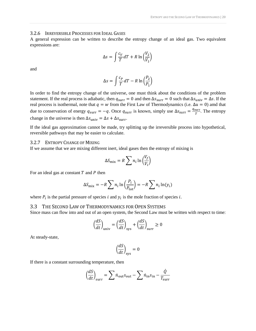#### <span id="page-20-0"></span>3.2.6 IRREVERSIBLE PROCESSES FOR IDEAL GASES

A general expression can be written to describe the entropy change of an ideal gas. Two equivalent expressions are:

$$
\Delta s = \int \frac{c_V}{T} dT + R \ln \left( \frac{V_2}{V_1} \right)
$$

and

$$
\Delta s = \int \frac{c_P}{T} dT - R \ln \left( \frac{P_2}{P_1} \right)
$$

In order to find the entropy change of the universe, one must think about the conditions of the problem statement. If the real process is adiabatic, then  $q_{\text{surr}} = 0$  and then  $\Delta s_{\text{surr}} = 0$  such that  $\Delta s_{\text{univ}} = \Delta s$ . If the real process is isothermal, note that  $q = w$  from the First Law of Thermodynamics (i.e.  $\Delta u = 0$ ) amd that due to conservation of energy  $q_{\text{surr}} = -q$ . Once  $q_{\text{surr}}$  is known, simply use  $\Delta s_{\text{surr}} = \frac{q_{\text{surr}}}{T}$  $\frac{r}{T}$ . The entropy change in the universe is then  $\Delta s_{\text{univ}} = \Delta s + \Delta s_{\text{surr}}$ .

If the ideal gas approximation cannot be made, try splitting up the irreversible process into hypothetical, reversible pathways that may be easier to calculate.

#### <span id="page-20-1"></span>3.2.7 ENTROPY CHANGE OF MIXING

If we assume that we are mixing different inert, ideal gases then the entropy of mixing is

$$
\Delta S_{\text{mix}} = R \sum n_i \ln \left( \frac{V_f}{V_i} \right)
$$

For an ideal gas at constant  $T$  and  $P$  then

$$
\Delta S_{\text{mix}} = -R \sum n_i \ln \left( \frac{P_i}{P_{\text{tot}}} \right) = -R \sum n_i \ln(y_i)
$$

where  $P_i$  is the partial pressure of species *i* and  $y_i$  is the mole fraction of species *i*.

#### <span id="page-20-2"></span>3.3 THE SECOND LAW OF THERMODYNAMICS FOR OPEN SYSTEMS

Since mass can flow into and out of an open system, the Second Law must be written with respect to time:

$$
\left(\frac{dS}{dt}\right)_{\text{univ}} = \left(\frac{dS}{dt}\right)_{\text{sys}} + \left(\frac{dS}{dt}\right)_{\text{surr}} \ge 0
$$

At steady-state,

$$
\left(\frac{dS}{dt}\right)_{\rm sys} = 0
$$

If there is a constant surrounding temperature, then

$$
\left(\frac{dS}{dt}\right)_{\text{surr}} = \sum \dot{n}_{\text{out}} s_{\text{out}} - \sum \dot{n}_{\text{in}} s_{\text{in}} - \frac{\dot{Q}}{T_{\text{surr}}}
$$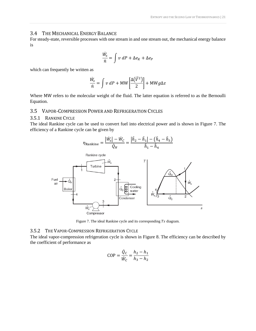## <span id="page-21-0"></span>3.4 THE MECHANICAL ENERGY BALANCE

For steady-state, reversible processes with one stream in and one stream out, the mechanical energy balance is

$$
\frac{\dot{W}_s}{\dot{n}} = \int v \, dP + \Delta e_K + \Delta e_P
$$

which can frequently be written as

$$
\frac{\dot{W}_s}{\dot{n}} = \int v \, dP + \text{MW} \left[ \frac{\Delta(\vec{V}^2)}{2} \right] + \text{MW} g \Delta z
$$

Where MW refers to the molecular weight of the fluid. The latter equation is referred to as the Bernoulli Equation.

# <span id="page-21-1"></span>3.5 VAPOR-COMPRESSION POWER AND REFRIGERATION CYCLES

# <span id="page-21-2"></span>3.5.1 RANKINE CYCLE

The ideal Rankine cycle can be used to convert fuel into electrical power and is shown in [Figure 7.](#page-21-4) The efficiency of a Rankine cycle can be given by



Figure 7. The ideal Rankine cycle and its corresponding  $Ts$  diagram.

#### <span id="page-21-4"></span><span id="page-21-3"></span>3.5.2 THE VAPOR-COMPRESSION REFRIGERATION CYCLE

The ideal vapor-compression refrigeration cycle is shown in [Figure 8.](#page-22-5) The efficiency can be described by the coefficient of performance as

$$
COP = \frac{\dot{Q}_C}{\dot{W}_C} = \frac{h_2 - h_1}{h_3 - h_2}
$$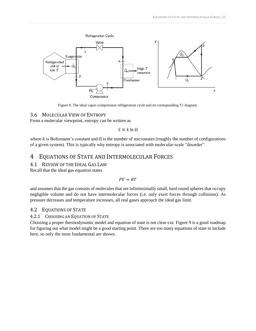

Figure 8. The ideal vapor-compression refrigeration cycle and its corresponding  $Ts$  diagram.

# <span id="page-22-5"></span><span id="page-22-0"></span>3.6 MOLECULAR VIEW OF ENTROPY

From a molecular viewpoint, entropy can be written as

 $S \equiv k \ln \Omega$ 

where k is Boltzmann's constant and  $\Omega$  is the number of microstates (roughly the number of configurations of a given system). This is typically why entropy is associated with molecular-scale "disorder".

# <span id="page-22-1"></span>4 EQUATIONS OF STATE AND INTERMOLECULAR FORCES

# <span id="page-22-2"></span>4.1 REVIEW OF THE IDEAL GAS LAW

Recall that the ideal gas equation states

$$
PV = RT
$$

and assumes that the gas consists of molecules that are infinitesimally small, hard round spheres that occupy negligible volume and do not have intermolecular forces (i.e. only exert forces through collisions). As pressure decreases and temperature increases, all real gases approach the ideal gas limit.

# <span id="page-22-3"></span>4.2 EQUATIONS OF STATE

# <span id="page-22-4"></span>4.2.1 CHOOSING AN EQUATION OF STATE

Choosing a proper thermodynamic model and equation of state is not clear-cut. [Figure 9](#page-23-4) is a good roadmap for figuring out what model might be a good starting point. There are too many equations of state to include here, so only the most fundamental are shown.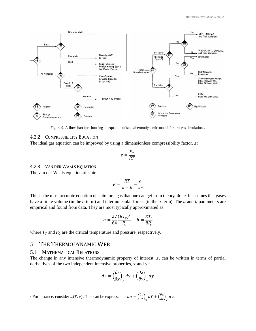

Figure 9. A flowchart for choosing an equation of state/thermodynamic model for process simulations.

#### <span id="page-23-4"></span><span id="page-23-0"></span>4.2.2 COMPRESSIBILITY EQUATION

The ideal gas equation can be improved by using a dimensionless compressibility factor,  $z$ :

$$
z=\frac{Pv}{RT}
$$

# <span id="page-23-1"></span>4.2.3 VAN DER WAALS EQUATION

The van der Waals equation of state is

$$
P = \frac{RT}{v - b} - \frac{a}{v^2}
$$

This is the most accurate equation of state for a gas that one can get from theory alone. It assumes that gases have a finite volume (in the  $b$  term) and intermolecular forces (in the  $a$  term). The  $a$  and  $b$  parameters are empirical and found from data. They are most typically approximated as

$$
a = \frac{27}{64} \frac{(RT_c)^2}{P_c} \qquad b = \frac{RT_c}{8P_c}
$$

where  $T_c$  and  $P_c$  are the critical temperature and pressure, respectively.

# <span id="page-23-2"></span>5 THE THERMODYNAMIC WEB

## <span id="page-23-3"></span>5.1 MATHEMATICAL RELATIONS

 $\overline{a}$ 

The change in any intensive thermodynamic property of interest, z, can be written in terms of partial derivatives of the two independent intensive properties,  $x$  and  $y$ :<sup>7</sup>

$$
dz = \left(\frac{\partial z}{\partial x}\right)_y dx + \left(\frac{\partial z}{\partial y}\right)_x dy
$$

<sup>&</sup>lt;sup>7</sup> For instance, consider  $u(T, v)$ . This can be expressed as  $du = \left(\frac{\partial u}{\partial T}\right)_v dT + \left(\frac{\partial u}{\partial v}\right)_T dv$ .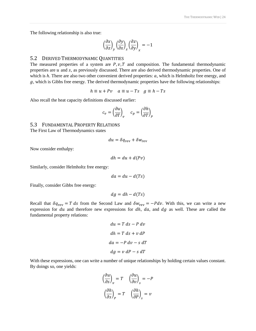The following relationship is also true:

$$
\left(\frac{\partial x}{\partial z}\right)_y \left(\frac{\partial y}{\partial x}\right)_z \left(\frac{\partial z}{\partial y}\right)_x = -1
$$

## <span id="page-24-0"></span>5.2 DERIVED THERMODYNAMIC QUANTITIES

The measured properties of a system are  $P, v, T$  and composition. The fundamental thermodynamic properties are  $u$  and  $s$ , as previously discussed. There are also derived thermodynamic properties. One of which is  $h$ . There are also two other convenient derived properties:  $a$ , which is Helmholtz free energy, and  $g$ , which is Gibbs free energy. The derived thermodynamic properties have the following relationships:

$$
h \equiv u + Pv \quad a \equiv u - Ts \quad g \equiv h - Ts
$$

Also recall the heat capacity definitions discussed earlier:

$$
c_v = \left(\frac{\partial u}{\partial T}\right)_v \quad c_p = \left(\frac{\partial h}{\partial T}\right)_p
$$

# <span id="page-24-1"></span>5.3 FUNDAMENTAL PROPERTY RELATIONS

The First Law of Thermodynamics states

$$
du = \delta q_{\rm rev} + \delta w_{\rm rev}
$$

Now consider enthalpy:

$$
dh = du + d(Pv)
$$

Similarly, consider Helmholtz free energy:

$$
da = du - d(Ts)
$$

Finally, consider Gibbs free energy:

$$
dg = dh - d(Ts)
$$

Recall that  $\delta q_{\text{rev}} = T ds$  from the Second Law and  $\delta w_{\text{rev}} = -P dv$ . With this, we can write a new expression for  $du$  and therefore new expressions for  $dh$ ,  $da$ , and  $dg$  as well. These are called the fundamental property relations:

$$
du = T ds - P dv
$$
  
\n
$$
dh = T ds + v dP
$$
  
\n
$$
da = -P dv - s dT
$$
  
\n
$$
dg = v dP - s dT
$$

With these expressions, one can write a number of unique relationships by holding certain values constant. By doings so, one yields:

$$
\left(\frac{\partial u}{\partial s}\right)_v = T \quad \left(\frac{\partial u}{\partial v}\right)_s = -P
$$

$$
\left(\frac{\partial h}{\partial s}\right)_p = T \quad \left(\frac{\partial h}{\partial P}\right)_s = v
$$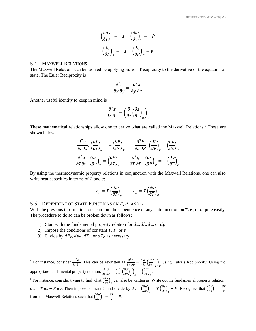$$
\left(\frac{\partial a}{\partial T}\right)_v = -s \quad \left(\frac{\partial a}{\partial v}\right)_T = -P
$$

$$
\left(\frac{\partial g}{\partial T}\right)_p = -s \quad \left(\frac{\partial g}{\partial P}\right)_T = v
$$

#### <span id="page-25-0"></span>5.4 MAXWELL RELATIONS

The Maxwell Relations can be derived by applying Euler's Reciprocity to the derivative of the equation of state. The Euler Reciprocity is

$$
\frac{\partial^2 z}{\partial x \, \partial y} = \frac{\partial^2 z}{\partial y \, \partial x}
$$

Another useful identity to keep in mind is

$$
\frac{\partial^2 z}{\partial x \partial y} = \left(\frac{\partial}{\partial x} \left(\frac{\partial z}{\partial y}\right)_x\right)_y
$$

These mathematical relationships allow one to derive what are called the Maxwell Relations.<sup>8</sup> These are shown below:

$$
\frac{\partial^2 u}{\partial s \partial v} \cdot \left(\frac{\partial T}{\partial v}\right)_s = -\left(\frac{\partial P}{\partial s}\right)_v \qquad \frac{\partial^2 h}{\partial s \partial P} \cdot \left(\frac{\partial T}{\partial P}\right)_s = \left(\frac{\partial v}{\partial s}\right)_P
$$

$$
\frac{\partial^2 a}{\partial T \partial v} \cdot \left(\frac{\partial s}{\partial v}\right)_T = \left(\frac{\partial P}{\partial T}\right)_v \qquad \frac{\partial^2 g}{\partial T \partial P} \cdot \left(\frac{\partial s}{\partial P}\right)_T = -\left(\frac{\partial v}{\partial T}\right)_P
$$

By using the thermodynamic property relations in conjunction with the Maxwell Relations, one can also write heat capacities in terms of  $T$  and  $s$ :

$$
c_v = T \left(\frac{\partial s}{\partial T}\right)_v \qquad c_p = T \left(\frac{\partial s}{\partial T}\right)_p
$$

## <span id="page-25-1"></span>5.5 DEPENDENT OF STATE FUNCTIONS ON  $T$ ,  $P$ , AND  $v$

With the previous information, one can find the dependence of any state function on  $T$ ,  $P$ , or  $\nu$  quite easily. The procedure to do so can be broken down as follows:<sup>9</sup>

- 1) Start with the fundamental property relation for  $du$ ,  $dh$ ,  $da$ , or  $dg$
- 2) Impose the conditions of constant  $T$ ,  $P$ , or  $\nu$
- 3) Divide by  $dP_T$ ,  $dv_T$ ,  $dT_v$ , or  $dT_P$  as necessary

l

<sup>8</sup> For instance, consider  $\frac{\partial^2 G}{\partial T \partial P}$ . This can be rewritten as  $\frac{\partial^2 G}{\partial T \partial P} = \left(\frac{\partial}{\partial T} \left(\frac{\partial G}{\partial P}\right)_T\right)_P$ using Euler's Reciprocity. Using the appropriate fundamental property relation,  $\frac{\partial^2 G}{\partial T \partial P} = \left(\frac{\partial}{\partial T} \left(\frac{\partial G}{\partial P}\right)_T\right)_P = \left(\frac{\partial V}{\partial T}\right)_P$ .

<sup>9</sup> For instance, consider trying to find what  $\left(\frac{\partial u}{\partial v}\right)_T$  can also be written as. Write out the fundamental property relation:  $du = T ds - P dv$ . Then impose constant T and divide by  $dv_T$ :  $\left(\frac{\partial u}{\partial v}\right)_T = T \left(\frac{\partial s}{\partial v}\right)_T - P$ . Recognize that  $\left(\frac{\partial s}{\partial v}\right)_T = \frac{\beta T}{\kappa}$ ĸ from the Maxwell Relations such that  $\left(\frac{\partial u}{\partial v}\right)_T = \frac{\beta T}{\kappa}$  $\frac{\partial I}{\partial \kappa} - P$ .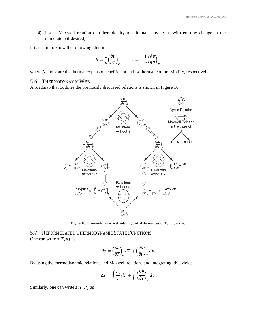4) Use a Maxwell relation or other identity to eliminate any terms with entropy change in the numerator (if desired)

It is useful to know the following identities:

$$
\beta \equiv \frac{1}{v} \left( \frac{\partial v}{\partial T} \right)_P \qquad \kappa \equiv -\frac{1}{v} \left( \frac{\partial v}{\partial P} \right)_T
$$

where  $\beta$  and  $\kappa$  are the thermal expansion coefficient and isothermal compressibility, respectively.

#### <span id="page-26-0"></span>5.6 THERMODYNAMIC WEB

A roadmap that outlines the previously discussed relations is shown in [Figure 10.](#page-26-2)



Figure 10. Thermodynamic web relating partial derivatives of  $T$ ,  $P$ ,  $s$ , and  $v$ .

<span id="page-26-2"></span><span id="page-26-1"></span>5.7 REFORMULATED THERMODYNAMIC STATE FUNCTIONS One can write  $s(T, v)$  as

$$
ds = \left(\frac{\partial s}{\partial T}\right)_v dT + \left(\frac{\partial s}{\partial v}\right)_T dv
$$

By using the thermodynamic relations and Maxwell relations and integrating, this yields

$$
\Delta s = \int \frac{c_v}{T} dT + \int \left(\frac{\partial P}{\partial T}\right)_v dv
$$

Similarly, one can write  $s(T, P)$  as